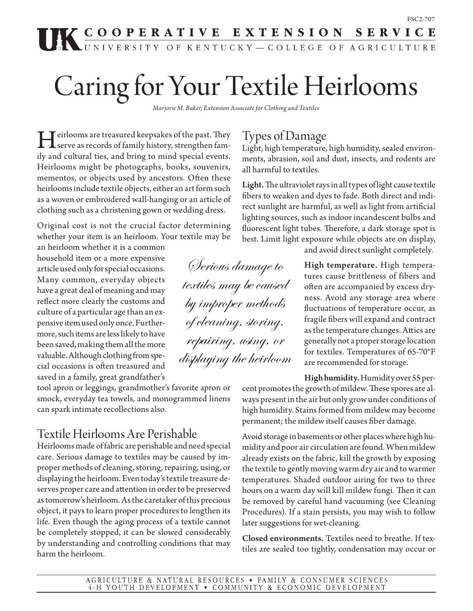# FSC2-707<br> **TERN STRATIVE EXTENSION SERVICE**

## Caring for Your Textile Heirlooms

*Marjorie M. Baker, Extension Associate for Clothing and Textiles*

I direct treasured keepsakes of the past. They<br>serve as records of family history, strengthen fam-<br>ily and subtural ties, and bring to mind special synta ily and cultural ties, and bring to mind special events. Heirlooms might be photographs, books, souvenirs, mementos, or objects used by ancestors. Often these heirlooms include textile objects, either an art form such as a woven or embroidered wall-hanging or an article of clothing such as a christening gown or wedding dress.

Original cost is not the crucial factor determining whether your item is an heirloom. Your textile may be

an heirloom whether it is a common household item or a more expensive article used only for special occasions. Many common, everyday objects have a great deal of meaning and may reflect more clearly the customs and culture of a particular age than an expensive item used only once. Furthermore, such items are less likely to have been saved, making them all the more valuable. Although clothing from special occasions is often treasured and saved in a family, great grandfather's

tool apron or leggings, grandmother's favorite apron or smock, everyday tea towels, and monogrammed linens can spark intimate recollections also.

## Textile Heirlooms Are Perishable

Heirlooms made of fabric are perishable and need special care. Serious damage to textiles may be caused by improper methods of cleaning, storing, repairing, using, or displaying the heirloom. Even today's textile treasure deserves proper care and attention in order to be preserved as tomorrow's heirloom. As the caretaker of this precious object, it pays to learn proper procedures to lengthen its life. Even though the aging process of a textile cannot be completely stopped, it can be slowed considerably by understanding and controlling conditions that may harm the heirloom.

## Types of Damage

Light, high temperature, high humidity, sealed environments, abrasion, soil and dust, insects, and rodents are all harmful to textiles.

Light. The ultraviolet rays in all types of light cause textile fibers to weaken and dyes to fade. Both direct and indirect sunlight are harmful, as well as light from artificial lighting sources, such as indoor incandescent bulbs and fluorescent light tubes. Therefore, a dark storage spot is best. Limit light exposure while objects are on display,

and avoid direct sunlight completely.

High temperature. High temperatures cause brittleness of fibers and often are accompanied by excess dryness. Avoid any storage area where fluctuations of temperature occur, as fragile fibers will expand and contract as the temperature changes. Attics are generally not a proper storage location for textiles. Temperatures of 65-70°F are recommended for storage.

High humidity. Humidity over 55 percent promotes the growth of mildew. These spores are always present in the air but only grow under conditions of high humidity. Stains formed from mildew may become permanent; the mildew itself causes fiber damage.

Avoid storage in basements or other places where high humidity and poor air circulation are found. When mildew already exists on the fabric, kill the growth by exposing the textile to gently moving warm dry air and to warmer temperatures. Shaded outdoor airing for two to three hours on a warm day will kill mildew fungi. Then it can be removed by careful hand vacuuming (see Cleaning Procedures). If a stain persists, you may wish to follow later suggestions for wet-cleaning.

Closed environments. Textiles need to breathe. If textiles are sealed too tightly, condensation may occur or

Serious damage to textiles may be caused by improper methods of cleaning, storing, repairing, using, or displaying the heirloom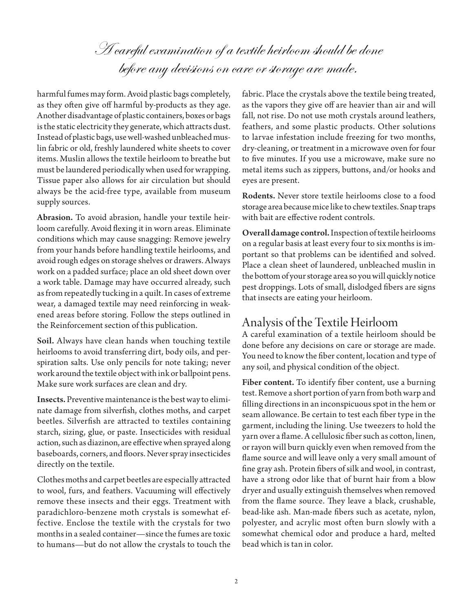A careful examination of a textile heirloom should be done before any decisions on care or storage are made.

harmful fumes may form. Avoid plastic bags completely, as they often give off harmful by-products as they age. Another disadvantage of plastic containers, boxes or bags is the static electricity they generate, which attracts dust. Instead of plastic bags, use well-washed unbleached muslin fabric or old, freshly laundered white sheets to cover items. Muslin allows the textile heirloom to breathe but must be laundered periodically when used for wrapping. Tissue paper also allows for air circulation but should always be the acid-free type, available from museum supply sources.

Abrasion. To avoid abrasion, handle your textile heirloom carefully. Avoid flexing it in worn areas. Eliminate conditions which may cause snagging: Remove jewelry from your hands before handling textile heirlooms, and avoid rough edges on storage shelves or drawers. Always work on a padded surface; place an old sheet down over a work table. Damage may have occurred already, such as from repeatedly tucking in a quilt. In cases of extreme wear, a damaged textile may need reinforcing in weakened areas before storing. Follow the steps outlined in the Reinforcement section of this publication.

Soil. Always have clean hands when touching textile heirlooms to avoid transferring dirt, body oils, and perspiration salts. Use only pencils for note taking; never work around the textile object with ink or ballpoint pens. Make sure work surfaces are clean and dry.

Insects. Preventive maintenance is the best way to eliminate damage from silverfish, clothes moths, and carpet beetles. Silverfish are attracted to textiles containing starch, sizing, glue, or paste. Insecticides with residual action, such as diazinon, are effective when sprayed along baseboards, corners, and floors. Never spray insecticides directly on the textile.

Clothes moths and carpet beetles are especially attracted to wool, furs, and feathers. Vacuuming will effectively remove these insects and their eggs. Treatment with paradichloro-benzene moth crystals is somewhat effective. Enclose the textile with the crystals for two months in a sealed container—since the fumes are toxic to humans—but do not allow the crystals to touch the fabric. Place the crystals above the textile being treated, as the vapors they give off are heavier than air and will fall, not rise. Do not use moth crystals around leathers, feathers, and some plastic products. Other solutions to larvae infestation include freezing for two months, dry-cleaning, or treatment in a microwave oven for four to five minutes. If you use a microwave, make sure no metal items such as zippers, buttons, and/or hooks and eyes are present.

Rodents. Never store textile heirlooms close to a food storage area because mice like to chew textiles. Snap traps with bait are effective rodent controls.

Overall damage control. Inspection of textile heirlooms on a regular basis at least every four to six months is important so that problems can be identified and solved. Place a clean sheet of laundered, unbleached muslin in the bottom of your storage area so you will quickly notice pest droppings. Lots of small, dislodged fibers are signs that insects are eating your heirloom.

## Analysis of the Textile Heirloom

A careful examination of a textile heirloom should be done before any decisions on care or storage are made. You need to know the fiber content, location and type of any soil, and physical condition of the object.

Fiber content. To identify fiber content, use a burning test. Remove a short portion of yarn from both warp and filling directions in an inconspicuous spot in the hem or seam allowance. Be certain to test each fiber type in the garment, including the lining. Use tweezers to hold the yarn over a flame. A cellulosic fiber such as cotton, linen, or rayon will burn quickly even when removed from the flame source and will leave only a very small amount of fine gray ash. Protein fibers of silk and wool, in contrast, have a strong odor like that of burnt hair from a blow dryer and usually extinguish themselves when removed from the flame source. They leave a black, crushable, bead-like ash. Man-made fibers such as acetate, nylon, polyester, and acrylic most often burn slowly with a somewhat chemical odor and produce a hard, melted bead which is tan in color.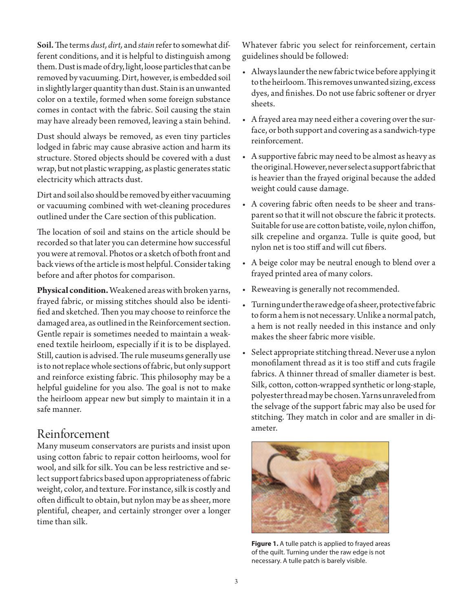Soil. The terms *dust, dirt,* and *stain* refer to somewhat different conditions, and it is helpful to distinguish among them. Dust is made of dry, light, loose particles that can be removed by vacuuming. Dirt, however, is embedded soil in slightly larger quantity than dust. Stain is an unwanted color on a textile, formed when some foreign substance comes in contact with the fabric. Soil causing the stain may have already been removed, leaving a stain behind.

Dust should always be removed, as even tiny particles lodged in fabric may cause abrasive action and harm its structure. Stored objects should be covered with a dust wrap, but not plastic wrapping, as plastic generates static electricity which attracts dust.

Dirt and soil also should be removed by either vacuuming or vacuuming combined with wet-cleaning procedures outlined under the Care section of this publication.

The location of soil and stains on the article should be recorded so that later you can determine how successful you were at removal. Photos or a sketch of both front and back views of the article is most helpful. Consider taking before and after photos for comparison.

**Physical condition.** Weakened areas with broken yarns, frayed fabric, or missing stitches should also be identified and sketched. Then you may choose to reinforce the damaged area, as outlined in the Reinforcement section. Gentle repair is sometimes needed to maintain a weakened textile heirloom, especially if it is to be displayed. Still, caution is advised. The rule museums generally use is to not replace whole sections of fabric, but only support and reinforce existing fabric. This philosophy may be a helpful guideline for you also. The goal is not to make the heirloom appear new but simply to maintain it in a safe manner.

## Reinforcement

Many museum conservators are purists and insist upon using cotton fabric to repair cotton heirlooms, wool for wool, and silk for silk. You can be less restrictive and select support fabrics based upon appropriateness of fabric weight, color, and texture. For instance, silk is costly and often difficult to obtain, but nylon may be as sheer, more plentiful, cheaper, and certainly stronger over a longer time than silk.

Whatever fabric you select for reinforcement, certain guidelines should be followed:

- • Alwayslaunderthe newfabric twice before applying it to the heirloom. This removes unwanted sizing, excess dyes, and finishes. Do not use fabric softener or dryer sheets.
- A frayed area may need either a covering over the surface, or both support and covering as a sandwich-type reinforcement.
- • A supportive fabric may need to be almost as heavy as the original. However, never select a support fabric that is heavier than the frayed original because the added weight could cause damage.
- • A covering fabric often needs to be sheer and transparent so that it will not obscure the fabric it protects. Suitable for use are cotton batiste, voile, nylon chiffon, silk crepeline and organza. Tulle is quite good, but nylon net is too stiff and will cut fibers.
- • A beige color may be neutral enough to blend over a frayed printed area of many colors.
- • Reweaving is generally not recommended.
- Turning under the raw edge of a sheer, protective fabric to form a hem is not necessary. Unlike a normal patch, a hem is not really needed in this instance and only makes the sheer fabric more visible.
- • Select appropriate stitching thread.Never use a nylon monofilament thread as it is too stiff and cuts fragile fabrics. A thinner thread of smaller diameter is best. Silk, cotton, cotton-wrapped synthetic or long-staple, polyester thread may be chosen. Yarns unraveled from the selvage of the support fabric may also be used for stitching. They match in color and are smaller in diameter.



**Figure 1.** A tulle patch is applied to frayed areas of the quilt. Turning under the raw edge is not necessary. A tulle patch is barely visible.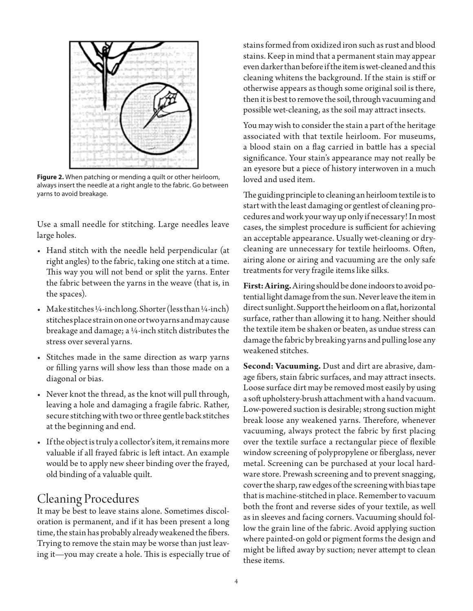

**Figure 2.** When patching or mending a quilt or other heirloom, always insert the needle at a right angle to the fabric. Go between yarns to avoid breakage.

Use a small needle for stitching. Large needles leave large holes.

- Hand stitch with the needle held perpendicular (at right angles) to the fabric, taking one stitch at a time. This way you will not bend or split the yarns. Enter the fabric between the yarns in the weave (that is, in the spaces).
- Make stitches 1/4-inchlong. Shorter (less than  $1/4$ -inch) stitches place strain on one or two yarns and may cause breakage and damage; a  $4$ -inch stitch distributes the stress over several yarns.
- • Stitches made in the same direction as warp yarns or filling yarns will show less than those made on a diagonal or bias.
- • Never knot the thread, as the knot will pull through, leaving a hole and damaging a fragile fabric. Rather, secure stitching with two or three gentle back stitches at the beginning and end.
- If the object is truly a collector's item, it remains more valuable if all frayed fabric is left intact. An example would be to apply new sheer binding over the frayed, old binding of a valuable quilt.

## Cleaning Procedures

It may be best to leave stains alone. Sometimes discoloration is permanent, and if it has been present a long time, the stain has probably already weakened the fibers. Trying to remove the stain may be worse than just leaving it—you may create a hole. This is especially true of stains formed from oxidized iron such as rust and blood stains. Keep in mind that a permanent stain may appear even darker than before if the item is wet-cleaned and this cleaning whitens the background. If the stain is stiff or otherwise appears as though some original soil is there, then it is best to remove the soil, through vacuuming and possible wet-cleaning, as the soil may attract insects.

You may wish to consider the stain a part of the heritage associated with that textile heirloom. For museums, a blood stain on a flag carried in battle has a special significance. Your stain's appearance may not really be an eyesore but a piece of history interwoven in a much loved and used item.

The guiding principle to cleaning an heirloom textile is to start with the least damaging or gentlest of cleaning procedures and work your way up only if necessary! In most cases, the simplest procedure is sufficient for achieving an acceptable appearance. Usually wet-cleaning or drycleaning are unnecessary for textile heirlooms. Often, airing alone or airing and vacuuming are the only safe treatments for very fragile items like silks.

**First: Airing.** Airing should be done indoors to avoid potential light damage from the sun. Never leave the item in direct sunlight. Support the heirloom on a flat, horizontal surface, rather than allowing it to hang. Neither should the textile item be shaken or beaten, as undue stress can damage the fabric by breaking yarns and pulling lose any weakened stitches.

**Second: Vacuuming.** Dust and dirt are abrasive, damage fibers, stain fabric surfaces, and may attract insects. Loose surface dirt may be removed most easily by using a soft upholstery-brush attachment with a hand vacuum. Low-powered suction is desirable; strong suction might break loose any weakened yarns. Therefore, whenever vacuuming, always protect the fabric by first placing over the textile surface a rectangular piece of flexible window screening of polypropylene or fiberglass, never metal. Screening can be purchased at your local hardware store. Prewash screening and to prevent snagging, cover the sharp, raw edges of the screening with bias tape that is machine-stitched in place. Remember to vacuum both the front and reverse sides of your textile, as well as in sleeves and facing corners. Vacuuming should follow the grain line of the fabric. Avoid applying suction where painted-on gold or pigment forms the design and might be lifted away by suction; never attempt to clean these items.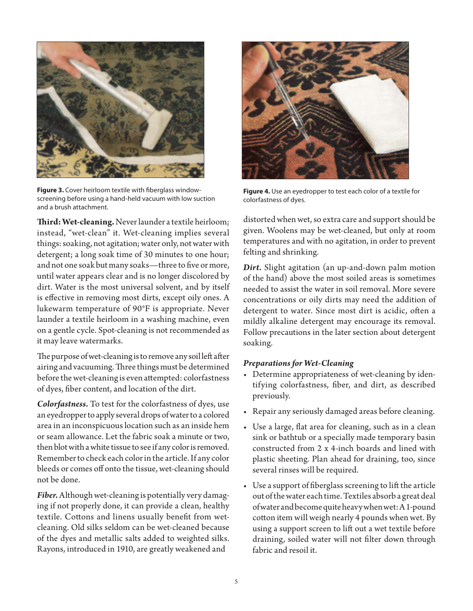

**Figure 3.** Cover heirloom textile with fiberglass windowscreening before using a hand-held vacuum with low suction and a brush attachment.

**Third: Wet-cleaning.** Never launder a textile heirloom; instead, "wet-clean" it. Wet-cleaning implies several things: soaking, not agitation; water only, not water with detergent; a long soak time of 30 minutes to one hour; and not one soak but many soaks—three to five or more, until water appears clear and is no longer discolored by dirt. Water is the most universal solvent, and by itself is effective in removing most dirts, except oily ones. A lukewarm temperature of 90°F is appropriate. Never launder a textile heirloom in a washing machine, even on a gentle cycle. Spot-cleaning is not recommended as it may leave watermarks.

The purpose of wet-cleaning is to remove any soil left after airing and vacuuming. Three things must be determined before the wet-cleaning is even attempted: colorfastness of dyes, fiber content, and location of the dirt.

*Colorfastness.* To test for the colorfastness of dyes, use an eyedropper to apply several drops of water to a colored area in an inconspicuous location such as an inside hem or seam allowance. Let the fabric soak a minute or two, then blot with a white tissue to see if any color is removed. Remember to check each color in the article. If any color bleeds or comes off onto the tissue, wet-cleaning should not be done.

*Fiber.* Although wet-cleaning is potentially very damaging if not properly done, it can provide a clean, healthy textile. Cottons and linens usually benefit from wetcleaning. Old silks seldom can be wet-cleaned because of the dyes and metallic salts added to weighted silks. Rayons, introduced in 1910, are greatly weakened and



**Figure 4.** Use an eyedropper to test each color of a textile for colorfastness of dyes.

distorted when wet, so extra care and support should be given. Woolens may be wet-cleaned, but only at room temperatures and with no agitation, in order to prevent felting and shrinking.

*Dirt.* Slight agitation (an up-and-down palm motion of the hand) above the most soiled areas is sometimes needed to assist the water in soil removal. More severe concentrations or oily dirts may need the addition of detergent to water. Since most dirt is acidic, often a mildly alkaline detergent may encourage its removal. Follow precautions in the later section about detergent soaking.

#### *Preparations for Wet-Cleaning*

- Determine appropriateness of wet-cleaning by identifying colorfastness, fiber, and dirt, as described previously.
- • Repair any seriously damaged areas before cleaning.
- Use a large, flat area for cleaning, such as in a clean sink or bathtub or a specially made temporary basin constructed from 2 x 4-inch boards and lined with plastic sheeting. Plan ahead for draining, too, since several rinses will be required.
- Use a support of fiberglass screening to lift the article out of the water each time. Textiles absorb a great deal of water and become quite heavy when wet: A 1-pound cotton item will weigh nearly 4 pounds when wet. By using a support screen to lift out a wet textile before draining, soiled water will not filter down through fabric and resoil it.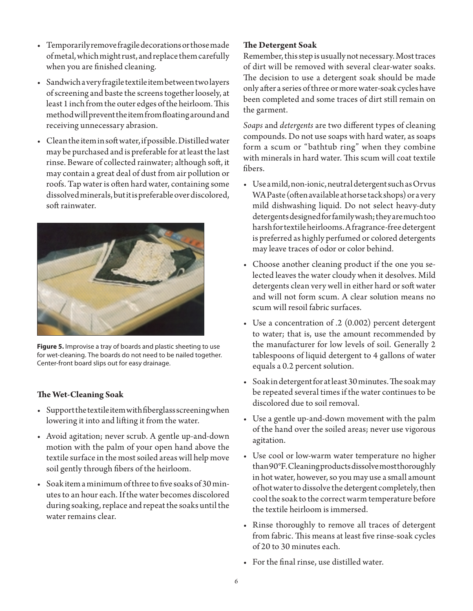- • Temporarilyremovefragiledecorationsorthosemade of metal, which might rust, and replace them carefully when you are finished cleaning.
- • Sandwichaveryfragiletextileitembetweentwolayers of screening and baste the screens together loosely, at least 1 inch from the outer edges of the heirloom. This method will prevent the item from floating around and receiving unnecessary abrasion.
- Clean the item in soft water, if possible. Distilled water may be purchased and is preferable for at least the last rinse. Beware of collected rainwater; although soft, it may contain a great deal of dust from air pollution or roofs. Tap water is often hard water, containing some dissolved minerals, but it is preferable over discolored, soft rainwater.



**Figure 5.** Improvise a tray of boards and plastic sheeting to use for wet-cleaning. The boards do not need to be nailed together. Center-front board slips out for easy drainage.

### **The Wet-Cleaning Soak**

- • Supportthetextileitemwithfiberglassscreeningwhen lowering it into and lifting it from the water.
- • Avoid agitation; never scrub. A gentle up-and-down motion with the palm of your open hand above the textile surface in the most soiled areas will help move soil gently through fibers of the heirloom.
- Soak item a minimum of three to five soaks of 30 minutes to an hour each. If the water becomes discolored during soaking, replace and repeat the soaks until the water remains clear.

#### **The Detergent Soak**

Remember, this step is usually not necessary. Most traces of dirt will be removed with several clear-water soaks. The decision to use a detergent soak should be made only after a series of three or more water-soak cycles have been completed and some traces of dirt still remain on the garment.

*Soaps* and *detergents* are two different types of cleaning compounds. Do not use soaps with hard water, as soaps form a scum or "bathtub ring" when they combine with minerals in hard water. This scum will coat textile fibers.

- • Useamild,non-ionic,neutraldetergentsuchasOrvus WA Paste (often available at horse tack shops) or a very mild dishwashing liquid. Do not select heavy-duty detergents designed for family wash; they are much too harsh for textile heirlooms. A fragrance-free detergent is preferred as highly perfumed or colored detergents may leave traces of odor or color behind.
- Choose another cleaning product if the one you selected leaves the water cloudy when it desolves. Mild detergents clean very well in either hard or soft water and will not form scum. A clear solution means no scum will resoil fabric surfaces.
- Use a concentration of .2 (0.002) percent detergent to water; that is, use the amount recommended by the manufacturer for low levels of soil. Generally 2 tablespoons of liquid detergent to 4 gallons of water equals a 0.2 percent solution.
- Soakin detergent for at least 30 minutes. The soak may be repeated several times if the water continues to be discolored due to soil removal.
- • Use a gentle up-and-down movement with the palm of the hand over the soiled areas; never use vigorous agitation.
- Use cool or low-warm water temperature no higher than 90°F. Cleaning products dissolve most thoroughly in hot water, however, so you may use a small amount of hot water to dissolve the detergent completely, then cool the soak to the correct warm temperature before the textile heirloom is immersed.
- • Rinse thoroughly to remove all traces of detergent from fabric. This means at least five rinse-soak cycles of 20 to 30 minutes each.
- • For the final rinse, use distilled water.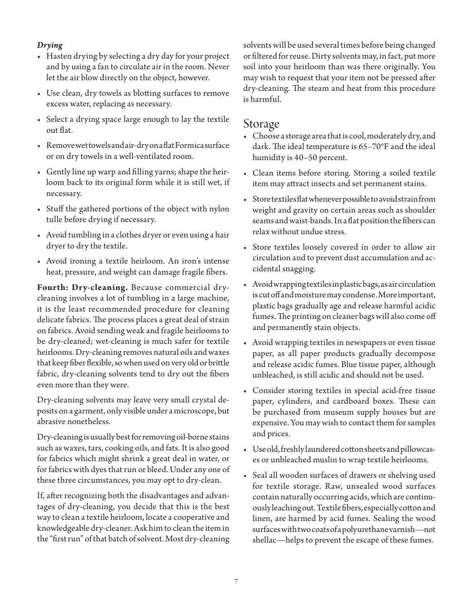#### *Drying*

- Hasten drying by selecting a dry day for your project and by using a fan to circulate air in the room. Never let the air blow directly on the object, however.
- • Use clean, dry towels as blotting surfaces to remove excess water, replacing as necessary.
- Select a drying space large enough to lay the textile out flat.
- • Removewettowelsandair-dryonaflatFormicasurface or on dry towels in a well-ventilated room.
- • Gently line up warp and filling yarns; shape the heirloom back to its original form while it is still wet, if necessary.
- • Stuff the gathered portions of the object with nylon tulle before drying if necessary.
- • Avoid tumbling in a clothes dryer or even using a hair dryer to dry the textile.
- • Avoid ironing a textile heirloom. An iron's intense heat, pressure, and weight can damage fragile fibers.

**Fourth: Dry-cleaning.** Because commercial drycleaning involves a lot of tumbling in a large machine, it is the least recommended procedure for cleaning delicate fabrics. The process places a great deal of strain on fabrics. Avoid sending weak and fragile heirlooms to be dry-cleaned; wet-cleaning is much safer for textile heirlooms. Dry-cleaning removes natural oils and waxes that keep fiber flexible, so when used on very old or brittle fabric, dry-cleaning solvents tend to dry out the fibers even more than they were.

Dry-cleaning solvents may leave very small crystal deposits on a garment, only visible under a microscope, but abrasive nonetheless.

Dry-cleaning is usually best for removing oil-borne stains such as waxes, tars, cooking oils, and fats. It is also good for fabrics which might shrink a great deal in water, or for fabrics with dyes that run or bleed. Under any one of these three circumstances, you may opt to dry-clean.

If, after recognizing both the disadvantages and advantages of dry-cleaning, you decide that this is the best way to clean a textile heirloom, locate a cooperative and knowledgeable dry-cleaner. Ask him to clean the item in the "first run" of that batch of solvent. Most dry-cleaning

solvents will be used several times before being changed or filtered for reuse. Dirty solvents may, in fact, put more soil into your heirloom than was there originally. You may wish to request that your item not be pressed after dry-cleaning. The steam and heat from this procedure is harmful.

## Storage

- Choose a storage area that is cool, moderately dry, and dark. The ideal temperature is 65–70°F and the ideal humidity is 40–50 percent.
- • Clean items before storing. Storing a soiled textile item may attract insects and set permanent stains.
- • Storetextilesflatwheneverpossibletoavoidstrainfrom weight and gravity on certain areas such as shoulder seams and waist-bands. In a flat position the fibers can relax without undue stress.
- • Store textiles loosely covered in order to allow air circulation and to prevent dust accumulation and accidental snagging.
- Avoidwrapping textiles in plastic bags, as air circulation is cut off and moisture may condense. More important, plastic bags gradually age and release harmful acidic fumes. The printing on cleaner bags will also come off and permanently stain objects.
- • Avoid wrapping textiles in newspapers or even tissue paper, as all paper products gradually decompose and release acidic fumes. Blue tissue paper, although unbleached, is still acidic and should not be used.
- • Consider storing textiles in special acid-free tissue paper, cylinders, and cardboard boxes. These can be purchased from museum supply houses but are expensive. You may wish to contact them for samples and prices.
- • Useold,freshlylaunderedcottonsheetsandpillowcases or unbleached muslin to wrap textile heirlooms.
- • Seal all wooden surfaces of drawers or shelving used for textile storage. Raw, unsealed wood surfaces contain naturally occurring acids, which are continuously leaching out. Textile fibers, especially cotton and linen, are harmed by acid fumes. Sealing the wood surfaces with two coats of a polyurethane varnish—not shellac—helps to prevent the escape of these fumes.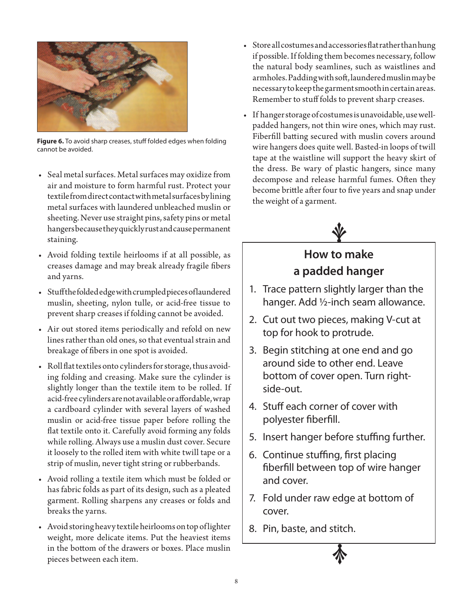

**Figure 6.** To avoid sharp creases, stuff folded edges when folding cannot be avoided.

- Seal metal surfaces. Metal surfaces may oxidize from air and moisture to form harmful rust. Protect your textile from direct contact with metal surfaces by lining metal surfaces with laundered unbleached muslin or sheeting. Never use straight pins, safety pins or metal hangers because they quickly rust and cause permanent staining.
- • Avoid folding textile heirlooms if at all possible, as creases damage and may break already fragile fibers and yarns.
- • Stuffthefoldededgewithcrumpledpiecesoflaundered muslin, sheeting, nylon tulle, or acid-free tissue to prevent sharp creases if folding cannot be avoided.
- • Air out stored items periodically and refold on new lines rather than old ones, so that eventual strain and breakage of fibers in one spot is avoided.
- Roll flat textiles onto cylinders for storage, thus avoiding folding and creasing. Make sure the cylinder is slightly longer than the textile item to be rolled. If acid-free cylinders are not available or affordable, wrap a cardboard cylinder with several layers of washed muslin or acid-free tissue paper before rolling the flat textile onto it. Carefully avoid forming any folds while rolling. Always use a muslin dust cover. Secure it loosely to the rolled item with white twill tape or a strip of muslin, never tight string or rubberbands.
- • Avoid rolling a textile item which must be folded or has fabric folds as part of its design, such as a pleated garment. Rolling sharpens any creases or folds and breaks the yarns.
- Avoid storing heavy textile heirlooms on top of lighter weight, more delicate items. Put the heaviest items in the bottom of the drawers or boxes. Place muslin pieces between each item.
- Store all costumes and accessories flat rather than hung if possible. If folding them becomes necessary, follow the natural body seamlines, such as waistlines and armholes. Padding with soft, laundered muslin may be necessary to keep the garment smooth in certain areas. Remember to stuff folds to prevent sharp creases.
- If hanger storage of costumes is unavoidable, use wellpadded hangers, not thin wire ones, which may rust. Fiberfill batting secured with muslin covers around wire hangers does quite well. Basted-in loops of twill tape at the waistline will support the heavy skirt of the dress. Be wary of plastic hangers, since many decompose and release harmful fumes. Often they become brittle after four to five years and snap under the weight of a garment.



## **How to make a padded hanger**

- 1. Trace pattern slightly larger than the hanger. Add ½-inch seam allowance.
- 2. Cut out two pieces, making V-cut at top for hook to protrude.
- 3. Begin stitching at one end and go around side to other end. Leave bottom of cover open. Turn rightside-out.
- 4. Stuff each corner of cover with polyester fiberfill.
- 5. Insert hanger before stuffing further.
- 6. Continue stuffing, first placing fiberfill between top of wire hanger and cover.
- 7. Fold under raw edge at bottom of cover.
- 8. Pin, baste, and stitch.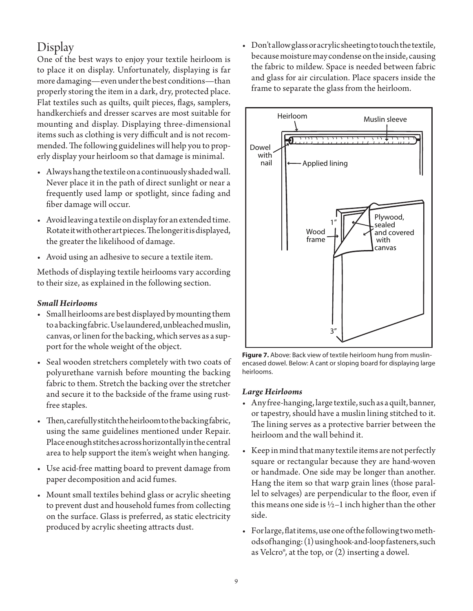## Display

One of the best ways to enjoy your textile heirloom is to place it on display. Unfortunately, displaying is far more damaging—even under the best conditions—than properly storing the item in a dark, dry, protected place. Flat textiles such as quilts, quilt pieces, flags, samplers, handkerchiefs and dresser scarves are most suitable for mounting and display. Displaying three-dimensional items such as clothing is very difficult and is not recommended. The following guidelines will help you to properly display your heirloom so that damage is minimal.

- • Alwayshangthetextileonacontinuouslyshadedwall. Never place it in the path of direct sunlight or near a frequently used lamp or spotlight, since fading and fiber damage will occur.
- Avoid leaving a textile on display for an extended time. Rotate it with other art pieces. The longer it is displayed, the greater the likelihood of damage.
- • Avoid using an adhesive to secure a textile item.

Methods of displaying textile heirlooms vary according to their size, as explained in the following section.

#### *Small Heirlooms*

- • Small heirlooms are best displayed bymounting them to a backing fabric. Use laundered, unbleached muslin, canvas, or linen for the backing, which serves as a support for the whole weight of the object.
- • Seal wooden stretchers completely with two coats of polyurethane varnish before mounting the backing fabric to them. Stretch the backing over the stretcher and secure it to the backside of the frame using rustfree staples.
- • Then,carefullystitchtheheirloomtothebackingfabric, using the same guidelines mentioned under Repair. Place enough stitches across horizontally in the central area to help support the item's weight when hanging.
- • Use acid-free matting board to prevent damage from paper decomposition and acid fumes.
- Mount small textiles behind glass or acrylic sheeting to prevent dust and household fumes from collecting on the surface. Glass is preferred, as static electricity produced by acrylic sheeting attracts dust.

• Don'tallowglassoracrylicsheetingtotouchthetextile, because moisture may condense on the inside, causing the fabric to mildew. Space is needed between fabric and glass for air circulation. Place spacers inside the frame to separate the glass from the heirloom.



**Figure 7.** Above: Back view of textile heirloom hung from muslinencased dowel. Below: A cant or sloping board for displaying large heirlooms.

#### *Large Heirlooms*

- Any free-hanging, large textile, such as a quilt, banner, or tapestry, should have a muslin lining stitched to it. The lining serves as a protective barrier between the heirloom and the wall behind it.
- Keep in mind that many textile items are not perfectly square or rectangular because they are hand-woven or handmade. One side may be longer than another. Hang the item so that warp grain lines (those parallel to selvages) are perpendicular to the floor, even if this means one side is  $1/2-1$  inch higher than the other side.
- Forlarge, flat items, use one of the following two methods of hanging: (1) using hook-and-loop fasteners, such as Velcro®, at the top, or (2) inserting a dowel.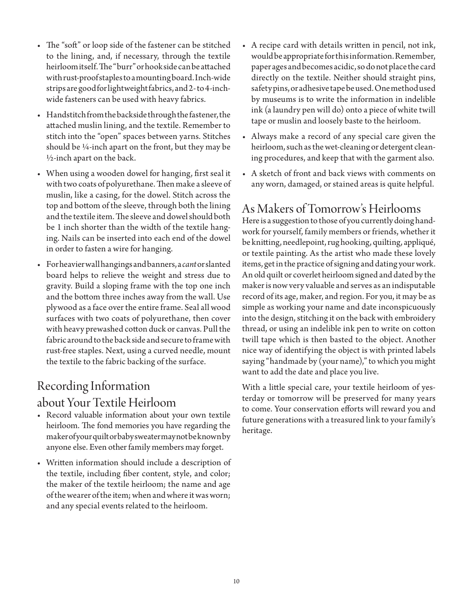- The "soft" or loop side of the fastener can be stitched to the lining, and, if necessary, through the textile heirloom itself. The "burr" or hook side can be attached with rust-proof staples to a mounting board. Inch-wide strips are good for lightweight fabrics, and 2- to 4-inchwide fasteners can be used with heavy fabrics.
- Handstitch from the backside through the fastener, the attached muslin lining, and the textile. Remember to stitch into the "open" spaces between yarns. Stitches should be ¼-inch apart on the front, but they may be ½-inch apart on the back.
- • When using a wooden dowel for hanging, first seal it with two coats of polyurethane. Then make a sleeve of muslin, like a casing, for the dowel. Stitch across the top and bottom of the sleeve, through both the lining and the textile item. The sleeve and dowel should both be 1 inch shorter than the width of the textile hanging. Nails can be inserted into each end of the dowel in order to fasten a wire for hanging.
- • Forheavierwallhangingsandbanners,a*cant* or slanted board helps to relieve the weight and stress due to gravity. Build a sloping frame with the top one inch and the bottom three inches away from the wall. Use plywood as a face over the entire frame. Seal all wood surfaces with two coats of polyurethane, then cover with heavy prewashed cotton duck or canvas. Pull the fabric around to the back side and secure to frame with rust-free staples. Next, using a curved needle, mount the textile to the fabric backing of the surface.

## Recording Information

## about Your Textile Heirloom

- Record valuable information about your own textile heirloom. The fond memories you have regarding the maker of your quilt or baby sweater may not be known by anyone else. Even other family members may forget.
- • Written information should include a description of the textile, including fiber content, style, and color; the maker of the textile heirloom; the name and age of the wearer of the item; when and where it was worn; and any special events related to the heirloom.
- A recipe card with details written in pencil, not ink, would be appropriate for this information. Remember, paper ages and becomes acidic, so do not place the card directly on the textile. Neither should straight pins, safety pins, or adhesive tape be used. One method used by museums is to write the information in indelible ink (a laundry pen will do) onto a piece of white twill tape or muslin and loosely baste to the heirloom.
- • Always make a record of any special care given the heirloom, such as the wet-cleaning or detergent cleaning procedures, and keep that with the garment also.
- • A sketch of front and back views with comments on any worn, damaged, or stained areas is quite helpful.

## As Makers of Tomorrow's Heirlooms

Here is a suggestion to those of you currently doing handwork for yourself, family members or friends, whether it be knitting, needlepoint, rug hooking, quilting, appliqué, or textile painting. As the artist who made these lovely items, get in the practice of signing and dating your work. An old quilt or coverlet heirloom signed and dated by the maker is now very valuable and serves as an indisputable record of its age, maker, and region. For you, it may be as simple as working your name and date inconspicuously into the design, stitching it on the back with embroidery thread, or using an indelible ink pen to write on cotton twill tape which is then basted to the object. Another nice way of identifying the object is with printed labels saying "handmade by (your name)," to which you might want to add the date and place you live.

With a little special care, your textile heirloom of yesterday or tomorrow will be preserved for many years to come. Your conservation efforts will reward you and future generations with a treasured link to your family's heritage.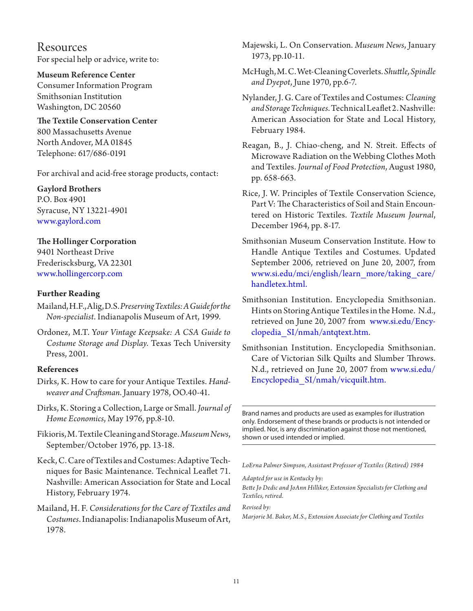Resources For special help or advice, write to:

Museum Reference Center

Consumer Information Program Smithsonian Institution Washington, DC 20560

#### The Textile Conservation Center 800 Massachusetts Avenue North Andover, MA 01845 Telephone: 617/686-0191

For archival and acid-free storage products, contact:

Gaylord Brothers P.O. Box 4901 Syracuse, NY 13221-4901 <www.gaylord.com>

### The Hollinger Corporation

9401 Northeast Drive Frederiscksburg, VA 22301 <www.hollingercorp.com>

#### **Further Reading**

- Mailand, H.F., Alig, D.S. *Preserving Textiles: A Guide for the Non-specialist*. Indianapolis Museum of Art, 1999.
- Ordonez, M.T. Y*our Vintage Keepsake: A CSA Guide to Costume Storage and Display*. Texas Tech University Press, 2001.

#### **References**

- Dirks, K. How to care for your Antique Textiles. *Handweaver and Craftsman*. January 1978, OO.40-41.
- Dirks, K. Storing a Collection, Large or Small. *Journal of Home Economics*, May 1976, pp.8-10.
- Fikioris, M. Textile Cleaning and Storage. *Museum News*, September/October 1976, pp. 13-18.
- Keck, C. Care of Textiles and Costumes: Adaptive Techniques for Basic Maintenance. Technical Leaflet 71. Nashville: American Association for State and Local History, February 1974.

Mailand, H. F. *Considerations for the Care of Textiles and Costumes*. Indianapolis: Indianapolis Museum of Art, 1978.

Majewski, L. On Conservation. *Museum News*, January 1973, pp.10-11.

- McHugh, M. C. Wet-Cleaning Coverlets. *Shuttle, Spindle and Dyepot*, June 1970, pp.6-7.
- Nylander, J. G. Care of Textiles and Costumes: *Cleaning and Storage Techniques*. Technical Leaflet 2. Nashville: American Association for State and Local History, February 1984.
- Reagan, B., J. Chiao-cheng, and N. Streit. Effects of Microwave Radiation on the Webbing Clothes Moth and Textiles. *Journal of Food Protection*, August 1980, pp. 658-663.
- Rice, J. W. Principles of Textile Conservation Science, Part V: The Characteristics of Soil and Stain Encountered on Historic Textiles. *Textile Museum Journal*, December 1964, pp. 8-17.
- Smithsonian Museum Conservation Institute. How to Handle Antique Textiles and Costumes. Updated September 2006, retrieved on June 20, 2007, from [www.si.edu/mci/english/learn\\_more/taking\\_care/](http://www.si.edu/mci/english/learn_more/taking_care/handletex.html) [handletex.htm](http://www.si.edu/mci/english/learn_more/taking_care/handletex.html)l.
- Smithsonian Institution. Encyclopedia Smithsonian. Hints on Storing Antique Textiles in the Home. N.d., retrieved on June 20, 2007 from [www.si.edu/Ency](http://www.si.edu/Encyclopedia_SI/nmah/antqtext.htm)[clopedia\\_SI/nmah/antqtext.htm.](http://www.si.edu/Encyclopedia_SI/nmah/antqtext.htm)
- Smithsonian Institution. Encyclopedia Smithsonian. Care of Victorian Silk Quilts and Slumber Throws. N.d., retrieved on June 20, 2007 from [www.si.edu/](http://www.si.edu/Encyclopedia_SI/nmah/vicquilt.htm) [Encyclopedia\\_SI/nmah/vicquilt.htm.](http://www.si.edu/Encyclopedia_SI/nmah/vicquilt.htm)

Brand names and products are used as examples for illustration only. Endorsement of these brands or products is not intended or implied. Nor, is any discrimination against those not mentioned, shown or used intended or implied.

*LoErna Palmer Simpson, Assistant Professor of Textiles (Retired) 1984*

#### *Adapted for use in Kentucky by:*

*Bette Jo Dedic and JoAnn Hilliker, Extension Specialists for Clothing and Textiles, retired.*

*Revised by:*

*Marjorie M. Baker, M.S., Extension Associate for Clothing and Textiles*